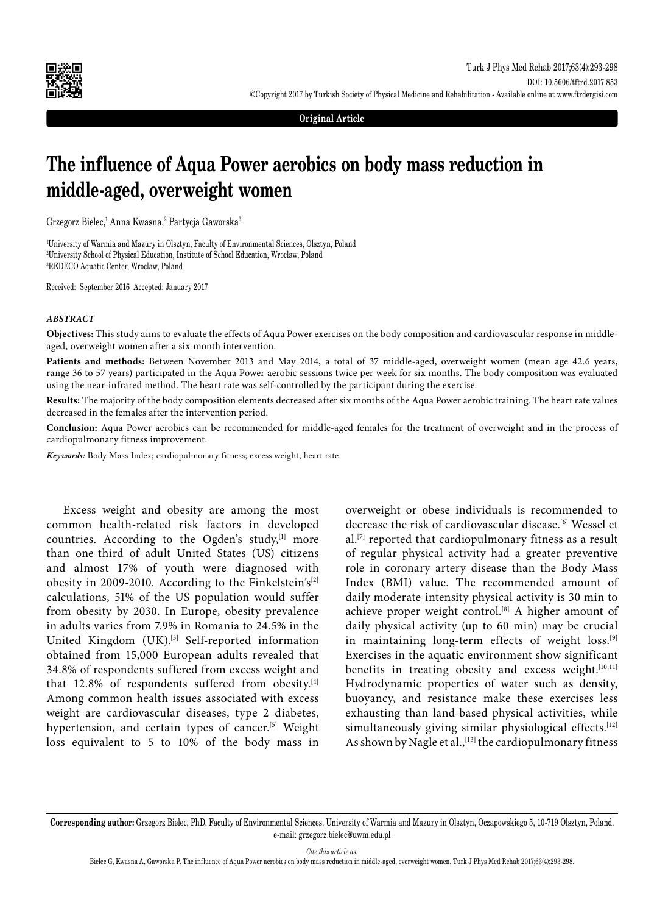

**Original Article**

# **The influence of Aqua Power aerobics on body mass reduction in middle-aged, overweight women**

Grzegorz Bielec,<sup>1</sup> Anna Kwasna,<sup>2</sup> Partycja Gaworska<sup>3</sup>

1 University of Warmia and Mazury in Olsztyn, Faculty of Environmental Sciences, Olsztyn, Poland 2 University School of Physical Education, Institute of School Education, Wroclaw, Poland 3 REDECO Aquatic Center, Wroclaw, Poland

Received: September 2016 Accepted: January 2017

#### *ABSTRACT*

**Objectives:** This study aims to evaluate the effects of Aqua Power exercises on the body composition and cardiovascular response in middleaged, overweight women after a six-month intervention.

**Patients and methods:** Between November 2013 and May 2014, a total of 37 middle-aged, overweight women (mean age 42.6 years, range 36 to 57 years) participated in the Aqua Power aerobic sessions twice per week for six months. The body composition was evaluated using the near-infrared method. The heart rate was self-controlled by the participant during the exercise.

**Results:** The majority of the body composition elements decreased after six months of the Aqua Power aerobic training. The heart rate values decreased in the females after the intervention period.

**Conclusion:** Aqua Power aerobics can be recommended for middle-aged females for the treatment of overweight and in the process of cardiopulmonary fitness improvement.

*Keywords:* Body Mass Index; cardiopulmonary fitness; excess weight; heart rate.

Excess weight and obesity are among the most common health-related risk factors in developed countries. According to the Ogden's study,<sup>[1]</sup> more than one-third of adult United States (US) citizens and almost 17% of youth were diagnosed with obesity in 2009-2010. According to the Finkelstein's<sup>[2]</sup> calculations, 51% of the US population would suffer from obesity by 2030. In Europe, obesity prevalence in adults varies from 7.9% in Romania to 24.5% in the United Kingdom (UK).<sup>[3]</sup> Self-reported information obtained from 15,000 European adults revealed that 34.8% of respondents suffered from excess weight and that 12.8% of respondents suffered from obesity.<sup>[4]</sup> Among common health issues associated with excess weight are cardiovascular diseases, type 2 diabetes, hypertension, and certain types of cancer.<sup>[5]</sup> Weight loss equivalent to 5 to 10% of the body mass in

overweight or obese individuals is recommended to decrease the risk of cardiovascular disease.[6] Wessel et al.[7] reported that cardiopulmonary fitness as a result of regular physical activity had a greater preventive role in coronary artery disease than the Body Mass Index (BMI) value. The recommended amount of daily moderate-intensity physical activity is 30 min to achieve proper weight control.<sup>[8]</sup> A higher amount of daily physical activity (up to 60 min) may be crucial in maintaining long-term effects of weight loss.<sup>[9]</sup> Exercises in the aquatic environment show significant benefits in treating obesity and excess weight.<sup>[10,11]</sup> Hydrodynamic properties of water such as density, buoyancy, and resistance make these exercises less exhausting than land-based physical activities, while simultaneously giving similar physiological effects.<sup>[12]</sup> As shown by Nagle et al., [13] the cardiopulmonary fitness

*Cite this article as:*

**Corresponding author:** Grzegorz Bielec, PhD. Faculty of Environmental Sciences, University of Warmia and Mazury in Olsztyn, Oczapowskiego 5, 10-719 Olsztyn, Poland. e-mail: grzegorz.bielec@uwm.edu.pl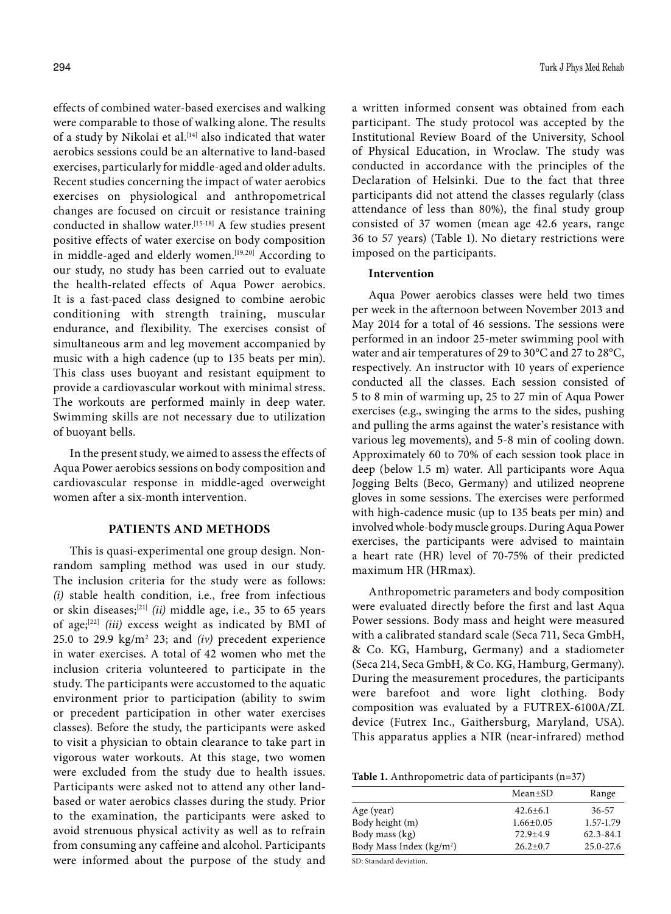effects of combined water-based exercises and walking were comparable to those of walking alone. The results of a study by Nikolai et al.<sup>[14]</sup> also indicated that water aerobics sessions could be an alternative to land-based exercises, particularly for middle-aged and older adults. Recent studies concerning the impact of water aerobics exercises on physiological and anthropometrical changes are focused on circuit or resistance training conducted in shallow water.[15-18] A few studies present positive effects of water exercise on body composition in middle-aged and elderly women.<sup>[19,20]</sup> According to our study, no study has been carried out to evaluate the health-related effects of Aqua Power aerobics. It is a fast-paced class designed to combine aerobic conditioning with strength training, muscular endurance, and flexibility. The exercises consist of simultaneous arm and leg movement accompanied by music with a high cadence (up to 135 beats per min). This class uses buoyant and resistant equipment to provide a cardiovascular workout with minimal stress. The workouts are performed mainly in deep water. Swimming skills are not necessary due to utilization of buoyant bells.

In the present study, we aimed to assess the effects of Aqua Power aerobics sessions on body composition and cardiovascular response in middle-aged overweight women after a six-month intervention.

# **PATIENTS AND METHODS**

This is quasi-experimental one group design. Nonrandom sampling method was used in our study. The inclusion criteria for the study were as follows: *(i)* stable health condition, i.e., free from infectious or skin diseases;[21] *(ii)* middle age, i.e., 35 to 65 years of age;[22] *(iii)* excess weight as indicated by BMI of 25.0 to 29.9 kg/m2 23; and *(iv)* precedent experience in water exercises. A total of 42 women who met the inclusion criteria volunteered to participate in the study. The participants were accustomed to the aquatic environment prior to participation (ability to swim or precedent participation in other water exercises classes). Before the study, the participants were asked to visit a physician to obtain clearance to take part in vigorous water workouts. At this stage, two women were excluded from the study due to health issues. Participants were asked not to attend any other landbased or water aerobics classes during the study. Prior to the examination, the participants were asked to avoid strenuous physical activity as well as to refrain from consuming any caffeine and alcohol. Participants were informed about the purpose of the study and

a written informed consent was obtained from each participant. The study protocol was accepted by the Institutional Review Board of the University, School of Physical Education, in Wroclaw. The study was conducted in accordance with the principles of the Declaration of Helsinki. Due to the fact that three participants did not attend the classes regularly (class attendance of less than 80%), the final study group consisted of 37 women (mean age 42.6 years, range 36 to 57 years) (Table 1). No dietary restrictions were imposed on the participants.

# **Intervention**

Aqua Power aerobics classes were held two times per week in the afternoon between November 2013 and May 2014 for a total of 46 sessions. The sessions were performed in an indoor 25-meter swimming pool with water and air temperatures of 29 to 30°C and 27 to 28°C, respectively. An instructor with 10 years of experience conducted all the classes. Each session consisted of 5 to 8 min of warming up, 25 to 27 min of Aqua Power exercises (e.g., swinging the arms to the sides, pushing and pulling the arms against the water's resistance with various leg movements), and 5-8 min of cooling down. Approximately 60 to 70% of each session took place in deep (below 1.5 m) water. All participants wore Aqua Jogging Belts (Beco, Germany) and utilized neoprene gloves in some sessions. The exercises were performed with high-cadence music (up to 135 beats per min) and involved whole-body muscle groups. During Aqua Power exercises, the participants were advised to maintain a heart rate (HR) level of 70-75% of their predicted maximum HR (HRmax).

Anthropometric parameters and body composition were evaluated directly before the first and last Aqua Power sessions. Body mass and height were measured with a calibrated standard scale (Seca 711, Seca GmbH, & Co. KG, Hamburg, Germany) and a stadiometer (Seca 214, Seca GmbH, & Co. KG, Hamburg, Germany). During the measurement procedures, the participants were barefoot and wore light clothing. Body composition was evaluated by a FUTREX-6100A/ZL device (Futrex Inc., Gaithersburg, Maryland, USA). This apparatus applies a NIR (near-infrared) method

| <b>Table 1.</b> Anthropometric data of participants $(n=37)$ |  |  |
|--------------------------------------------------------------|--|--|
|--------------------------------------------------------------|--|--|

|                                      | Mean±SD         | Range         |
|--------------------------------------|-----------------|---------------|
| Age (year)                           | $42.6 \pm 6.1$  | $36 - 57$     |
| Body height (m)                      | $1.66 \pm 0.05$ | 1.57-1.79     |
| Body mass (kg)                       | $72.9 + 4.9$    | $62.3 - 84.1$ |
| Body Mass Index (kg/m <sup>2</sup> ) | $26.2 \pm 0.7$  | $25.0 - 27.6$ |

SD: Standard deviation.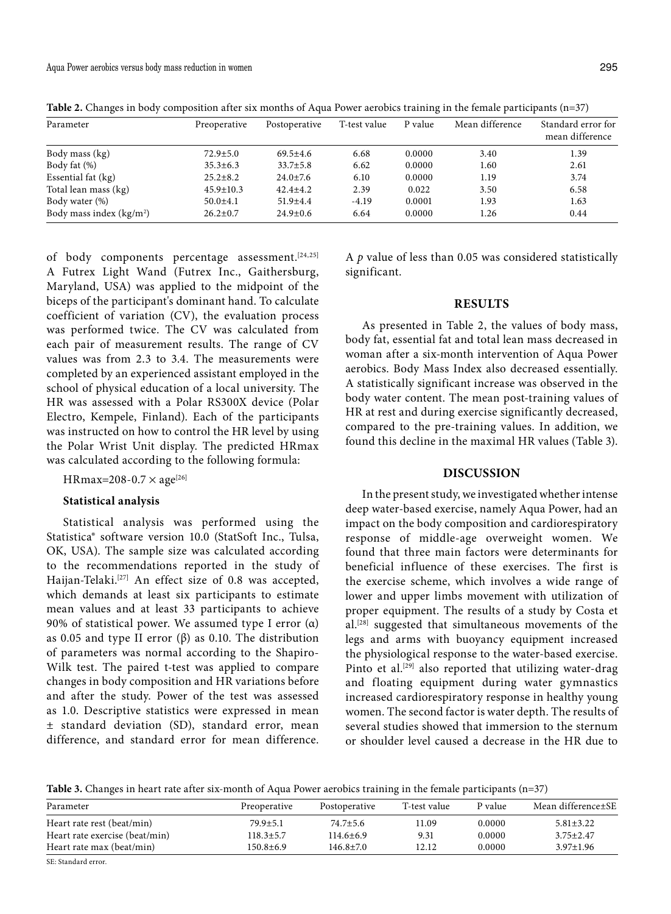| Parameter                 | Preoperative    | Postoperative  | T-test value | P value | Mean difference | Standard error for<br>mean difference |
|---------------------------|-----------------|----------------|--------------|---------|-----------------|---------------------------------------|
| Body mass (kg)            | $72.9 \pm 5.0$  | $69.5+4.6$     | 6.68         | 0.0000  | 3.40            | 1.39                                  |
| Body fat (%)              | $35.3 \pm 6.3$  | $33.7 \pm 5.8$ | 6.62         | 0.0000  | 1.60            | 2.61                                  |
| Essential fat (kg)        | $25.2 + 8.2$    | $24.0 \pm 7.6$ | 6.10         | 0.0000  | 1.19            | 3.74                                  |
| Total lean mass (kg)      | $45.9 \pm 10.3$ | $42.4 \pm 4.2$ | 2.39         | 0.022   | 3.50            | 6.58                                  |
| Body water (%)            | $50.0 \pm 4.1$  | $51.9{\pm}4.4$ | $-4.19$      | 0.0001  | 1.93            | 1.63                                  |
| Body mass index $(kg/m2)$ | $26.2 \pm 0.7$  | $24.9 \pm 0.6$ | 6.64         | 0.0000  | 1.26            | 0.44                                  |

**Table 2.** Changes in body composition after six months of Aqua Power aerobics training in the female participants (n=37)

of body components percentage assessment.<sup>[24,25]</sup> A Futrex Light Wand (Futrex Inc., Gaithersburg, Maryland, USA) was applied to the midpoint of the biceps of the participant's dominant hand. To calculate coefficient of variation (CV), the evaluation process was performed twice. The CV was calculated from each pair of measurement results. The range of CV values was from 2.3 to 3.4. The measurements were completed by an experienced assistant employed in the school of physical education of a local university. The HR was assessed with a Polar RS300X device (Polar Electro, Kempele, Finland). Each of the participants was instructed on how to control the HR level by using the Polar Wrist Unit display. The predicted HRmax was calculated according to the following formula:

 $HRmax=208-0.7 \times age^{[26]}$ 

#### **Statistical analysis**

Statistical analysis was performed using the Statistica® software version 10.0 (StatSoft Inc., Tulsa, OK, USA). The sample size was calculated according to the recommendations reported in the study of Haijan-Telaki.<sup>[27]</sup> An effect size of 0.8 was accepted, which demands at least six participants to estimate mean values and at least 33 participants to achieve 90% of statistical power. We assumed type I error (α) as 0.05 and type II error  $(β)$  as 0.10. The distribution of parameters was normal according to the Shapiro-Wilk test. The paired t-test was applied to compare changes in body composition and HR variations before and after the study. Power of the test was assessed as 1.0. Descriptive statistics were expressed in mean ± standard deviation (SD), standard error, mean difference, and standard error for mean difference. A *p* value of less than 0.05 was considered statistically significant.

# **RESULTS**

As presented in Table 2, the values of body mass, body fat, essential fat and total lean mass decreased in woman after a six-month intervention of Aqua Power aerobics. Body Mass Index also decreased essentially. A statistically significant increase was observed in the body water content. The mean post-training values of HR at rest and during exercise significantly decreased, compared to the pre-training values. In addition, we found this decline in the maximal HR values (Table 3).

### **DISCUSSION**

In the present study, we investigated whether intense deep water-based exercise, namely Aqua Power, had an impact on the body composition and cardiorespiratory response of middle-age overweight women. We found that three main factors were determinants for beneficial influence of these exercises. The first is the exercise scheme, which involves a wide range of lower and upper limbs movement with utilization of proper equipment. The results of a study by Costa et al.[28] suggested that simultaneous movements of the legs and arms with buoyancy equipment increased the physiological response to the water-based exercise. Pinto et al.<sup>[29]</sup> also reported that utilizing water-drag and floating equipment during water gymnastics increased cardiorespiratory response in healthy young women. The second factor is water depth. The results of several studies showed that immersion to the sternum or shoulder level caused a decrease in the HR due to

**Table 3.** Changes in heart rate after six-month of Aqua Power aerobics training in the female participants (n=37)

| Preoperative    | Postoperative   | T-test value | P value | Mean difference±SE |
|-----------------|-----------------|--------------|---------|--------------------|
| $79.9 \pm 5.1$  | $74.7 \pm 5.6$  | 1.09         | 0.0000  | $5.81 \pm 3.22$    |
| $118.3 \pm 5.7$ | $114.6 \pm 6.9$ | 9.31         | 0.0000  | $3.75 \pm 2.47$    |
| $150.8 + 6.9$   | $146.8 \pm 7.0$ | 12.12        | 0.0000  | $3.97 \pm 1.96$    |
|                 |                 |              |         |                    |

SE: Standard error.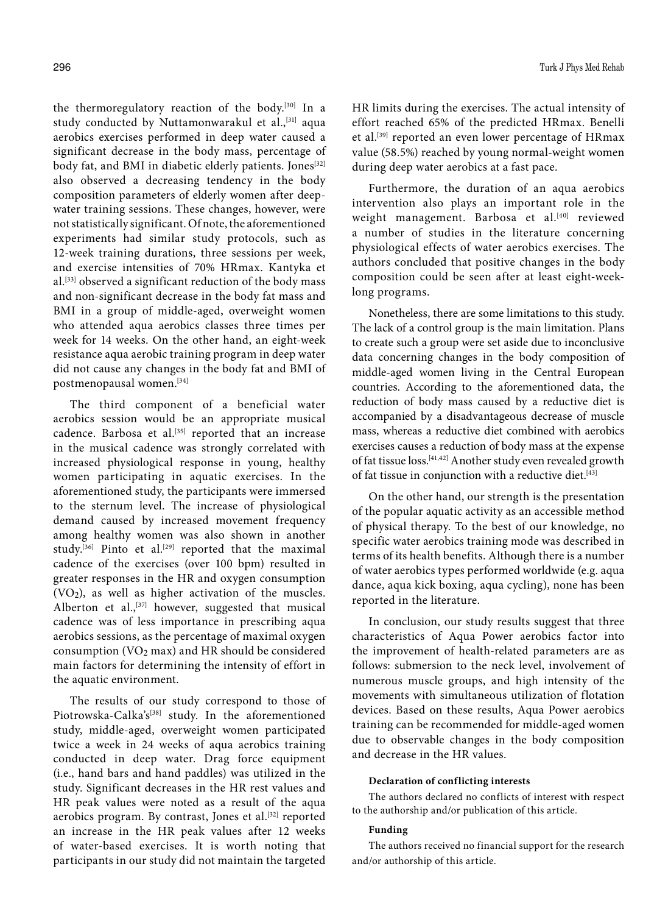the thermoregulatory reaction of the body.[30] In a study conducted by Nuttamonwarakul et al.,<sup>[31]</sup> aqua aerobics exercises performed in deep water caused a significant decrease in the body mass, percentage of body fat, and BMI in diabetic elderly patients. Jones<sup>[32]</sup> also observed a decreasing tendency in the body composition parameters of elderly women after deepwater training sessions. These changes, however, were not statistically significant. Of note, the aforementioned experiments had similar study protocols, such as 12-week training durations, three sessions per week, and exercise intensities of 70% HRmax. Kantyka et al.[33] observed a significant reduction of the body mass and non-significant decrease in the body fat mass and BMI in a group of middle-aged, overweight women who attended aqua aerobics classes three times per week for 14 weeks. On the other hand, an eight-week resistance aqua aerobic training program in deep water did not cause any changes in the body fat and BMI of postmenopausal women.[34]

The third component of a beneficial water aerobics session would be an appropriate musical cadence. Barbosa et al.<sup>[35]</sup> reported that an increase in the musical cadence was strongly correlated with increased physiological response in young, healthy women participating in aquatic exercises. In the aforementioned study, the participants were immersed to the sternum level. The increase of physiological demand caused by increased movement frequency among healthy women was also shown in another study.<sup>[36]</sup> Pinto et al.<sup>[29]</sup> reported that the maximal cadence of the exercises (over 100 bpm) resulted in greater responses in the HR and oxygen consumption  $(VO<sub>2</sub>)$ , as well as higher activation of the muscles. Alberton et al.,  $[37]$  however, suggested that musical cadence was of less importance in prescribing aqua aerobics sessions, as the percentage of maximal oxygen consumption (VO2 max) and HR should be considered main factors for determining the intensity of effort in the aquatic environment.

The results of our study correspond to those of Piotrowska-Calka's<sup>[38]</sup> study. In the aforementioned study, middle-aged, overweight women participated twice a week in 24 weeks of aqua aerobics training conducted in deep water. Drag force equipment (i.e., hand bars and hand paddles) was utilized in the study. Significant decreases in the HR rest values and HR peak values were noted as a result of the aqua aerobics program. By contrast, Jones et al.<sup>[32]</sup> reported an increase in the HR peak values after 12 weeks of water-based exercises. It is worth noting that participants in our study did not maintain the targeted

HR limits during the exercises. The actual intensity of effort reached 65% of the predicted HRmax. Benelli et al.[39] reported an even lower percentage of HRmax value (58.5%) reached by young normal-weight women during deep water aerobics at a fast pace.

Furthermore, the duration of an aqua aerobics intervention also plays an important role in the weight management. Barbosa et al.<sup>[40]</sup> reviewed a number of studies in the literature concerning physiological effects of water aerobics exercises. The authors concluded that positive changes in the body composition could be seen after at least eight-weeklong programs.

Nonetheless, there are some limitations to this study. The lack of a control group is the main limitation. Plans to create such a group were set aside due to inconclusive data concerning changes in the body composition of middle-aged women living in the Central European countries. According to the aforementioned data, the reduction of body mass caused by a reductive diet is accompanied by a disadvantageous decrease of muscle mass, whereas a reductive diet combined with aerobics exercises causes a reduction of body mass at the expense of fat tissue loss.[41,42] Another study even revealed growth of fat tissue in conjunction with a reductive diet.<sup>[43]</sup>

On the other hand, our strength is the presentation of the popular aquatic activity as an accessible method of physical therapy. To the best of our knowledge, no specific water aerobics training mode was described in terms of its health benefits. Although there is a number of water aerobics types performed worldwide (e.g. aqua dance, aqua kick boxing, aqua cycling), none has been reported in the literature.

In conclusion, our study results suggest that three characteristics of Aqua Power aerobics factor into the improvement of health-related parameters are as follows: submersion to the neck level, involvement of numerous muscle groups, and high intensity of the movements with simultaneous utilization of flotation devices. Based on these results, Aqua Power aerobics training can be recommended for middle-aged women due to observable changes in the body composition and decrease in the HR values.

#### **Declaration of conflicting interests**

The authors declared no conflicts of interest with respect to the authorship and/or publication of this article.

#### **Funding**

The authors received no financial support for the research and/or authorship of this article.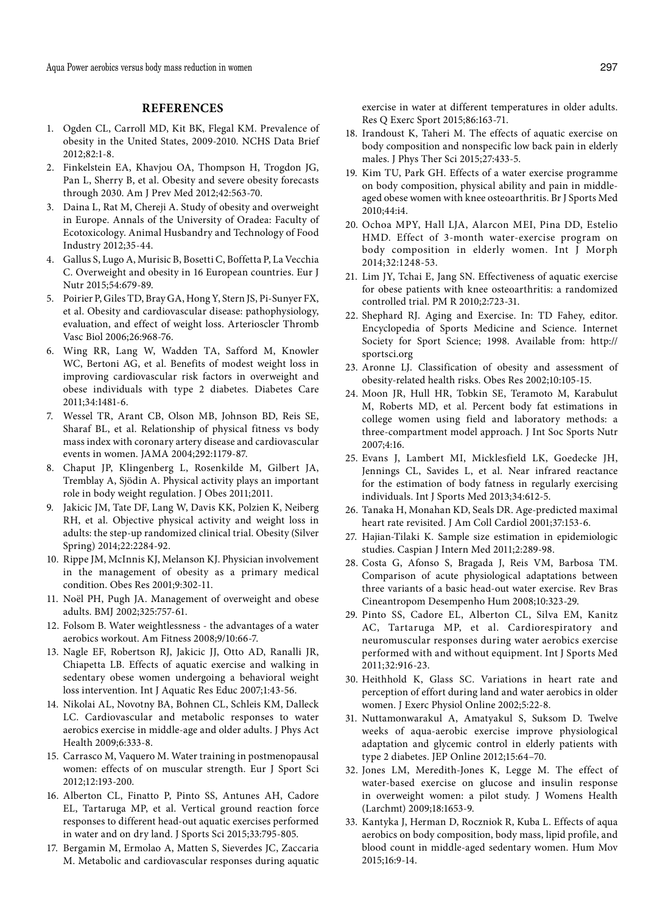Aqua Power aerobics versus body mass reduction in women 297

# **REFERENCES**

- 1. Ogden CL, Carroll MD, Kit BK, Flegal KM. Prevalence of obesity in the United States, 2009-2010. NCHS Data Brief 2012;82:1-8.
- 2. Finkelstein EA, Khavjou OA, Thompson H, Trogdon JG, Pan L, Sherry B, et al. Obesity and severe obesity forecasts through 2030. Am J Prev Med 2012;42:563-70.
- 3. Daina L, Rat M, Chereji A. Study of obesity and overweight in Europe. Annals of the University of Oradea: Faculty of Ecotoxicology. Animal Husbandry and Technology of Food Industry 2012;35-44.
- 4. Gallus S, Lugo A, Murisic B, Bosetti C, Boffetta P, La Vecchia C. Overweight and obesity in 16 European countries. Eur J Nutr 2015;54:679-89.
- 5. Poirier P, Giles TD, Bray GA, Hong Y, Stern JS, Pi-Sunyer FX, et al. Obesity and cardiovascular disease: pathophysiology, evaluation, and effect of weight loss. Arterioscler Thromb Vasc Biol 2006;26:968-76.
- 6. Wing RR, Lang W, Wadden TA, Safford M, Knowler WC, Bertoni AG, et al. Benefits of modest weight loss in improving cardiovascular risk factors in overweight and obese individuals with type 2 diabetes. Diabetes Care 2011;34:1481-6.
- 7. Wessel TR, Arant CB, Olson MB, Johnson BD, Reis SE, Sharaf BL, et al. Relationship of physical fitness vs body mass index with coronary artery disease and cardiovascular events in women. JAMA 2004;292:1179-87.
- 8. Chaput JP, Klingenberg L, Rosenkilde M, Gilbert JA, Tremblay A, Sjödin A. Physical activity plays an important role in body weight regulation. J Obes 2011;2011.
- 9. Jakicic JM, Tate DF, Lang W, Davis KK, Polzien K, Neiberg RH, et al. Objective physical activity and weight loss in adults: the step-up randomized clinical trial. Obesity (Silver Spring) 2014;22:2284-92.
- 10. Rippe JM, McInnis KJ, Melanson KJ. Physician involvement in the management of obesity as a primary medical condition. Obes Res 2001;9:302-11.
- 11. Noël PH, Pugh JA. Management of overweight and obese adults. BMJ 2002;325:757-61.
- 12. Folsom B. Water weightlessness the advantages of a water aerobics workout. Am Fitness 2008;9/10:66-7.
- 13. Nagle EF, Robertson RJ, Jakicic JJ, Otto AD, Ranalli JR, Chiapetta LB. Effects of aquatic exercise and walking in sedentary obese women undergoing a behavioral weight loss intervention. Int J Aquatic Res Educ 2007;1:43-56.
- 14. Nikolai AL, Novotny BA, Bohnen CL, Schleis KM, Dalleck LC. Cardiovascular and metabolic responses to water aerobics exercise in middle-age and older adults. J Phys Act Health 2009;6:333-8.
- 15. Carrasco M, Vaquero M. Water training in postmenopausal women: effects of on muscular strength. Eur J Sport Sci 2012;12:193-200.
- 16. Alberton CL, Finatto P, Pinto SS, Antunes AH, Cadore EL, Tartaruga MP, et al. Vertical ground reaction force responses to different head-out aquatic exercises performed in water and on dry land. J Sports Sci 2015;33:795-805.
- 17. Bergamin M, Ermolao A, Matten S, Sieverdes JC, Zaccaria M. Metabolic and cardiovascular responses during aquatic

exercise in water at different temperatures in older adults. Res Q Exerc Sport 2015;86:163-71.

- 18. Irandoust K, Taheri M. The effects of aquatic exercise on body composition and nonspecific low back pain in elderly males. J Phys Ther Sci 2015;27:433-5.
- 19. Kim TU, Park GH. Effects of a water exercise programme on body composition, physical ability and pain in middleaged obese women with knee osteoarthritis. Br J Sports Med 2010;44:i4.
- 20. Ochoa MPY, Hall LJA, Alarcon MEI, Pina DD, Estelio HMD. Effect of 3-month water-exercise program on body composition in elderly women. Int J Morph 2014;32:1248-53.
- 21. Lim JY, Tchai E, Jang SN. Effectiveness of aquatic exercise for obese patients with knee osteoarthritis: a randomized controlled trial. PM R 2010;2:723-31.
- 22. Shephard RJ. Aging and Exercise. In: TD Fahey, editor. Encyclopedia of Sports Medicine and Science. Internet Society for Sport Science; 1998. Available from: http:// sportsci.org
- 23. Aronne LJ. Classification of obesity and assessment of obesity-related health risks. Obes Res 2002;10:105-15.
- 24. Moon JR, Hull HR, Tobkin SE, Teramoto M, Karabulut M, Roberts MD, et al. Percent body fat estimations in college women using field and laboratory methods: a three-compartment model approach. J Int Soc Sports Nutr 2007;4:16.
- 25. Evans J, Lambert MI, Micklesfield LK, Goedecke JH, Jennings CL, Savides L, et al. Near infrared reactance for the estimation of body fatness in regularly exercising individuals. Int J Sports Med 2013;34:612-5.
- 26. Tanaka H, Monahan KD, Seals DR. Age-predicted maximal heart rate revisited. J Am Coll Cardiol 2001;37:153-6.
- 27. Hajian-Tilaki K. Sample size estimation in epidemiologic studies. Caspian J Intern Med 2011;2:289-98.
- 28. Costa G, Afonso S, Bragada J, Reis VM, Barbosa TM. Comparison of acute physiological adaptations between three variants of a basic head-out water exercise. Rev Bras Cineantropom Desempenho Hum 2008;10:323-29.
- 29. Pinto SS, Cadore EL, Alberton CL, Silva EM, Kanitz AC, Tartaruga MP, et al. Cardiorespiratory and neuromuscular responses during water aerobics exercise performed with and without equipment. Int J Sports Med 2011;32:916-23.
- 30. Heithhold K, Glass SC. Variations in heart rate and perception of effort during land and water aerobics in older women. J Exerc Physiol Online 2002;5:22-8.
- 31. Nuttamonwarakul A, Amatyakul S, Suksom D. Twelve weeks of aqua-aerobic exercise improve physiological adaptation and glycemic control in elderly patients with type 2 diabetes. JEP Online 2012;15:64–70.
- 32. Jones LM, Meredith-Jones K, Legge M. The effect of water-based exercise on glucose and insulin response in overweight women: a pilot study. J Womens Health (Larchmt) 2009;18:1653-9.
- 33. Kantyka J, Herman D, Roczniok R, Kuba L. Effects of aqua aerobics on body composition, body mass, lipid profile, and blood count in middle-aged sedentary women. Hum Mov 2015;16:9-14.